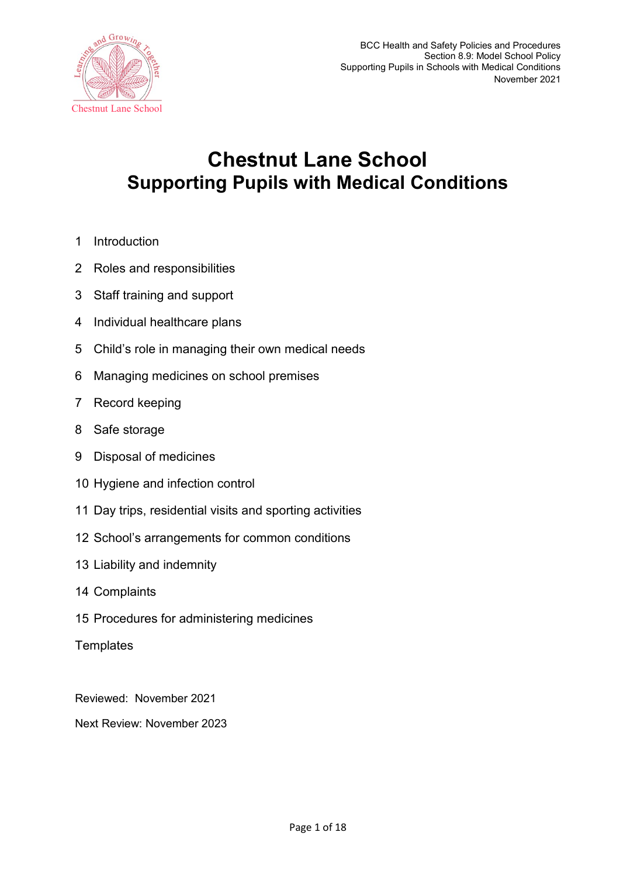

# **Chestnut Lane School Supporting Pupils with Medical Conditions**

- 1 Introduction
- 2 Roles and responsibilities
- 3 Staff training and support
- 4 Individual healthcare plans
- 5 Child's role in managing their own medical needs
- 6 Managing medicines on school premises
- 7 Record keeping
- 8 Safe storage
- 9 Disposal of medicines
- 10 Hygiene and infection control
- 11 Day trips, residential visits and sporting activities
- 12 School's arrangements for common conditions
- 13 Liability and indemnity
- 14 Complaints
- 15 Procedures for administering medicines
- **Templates**

Reviewed: November 2021

Next Review: November 2023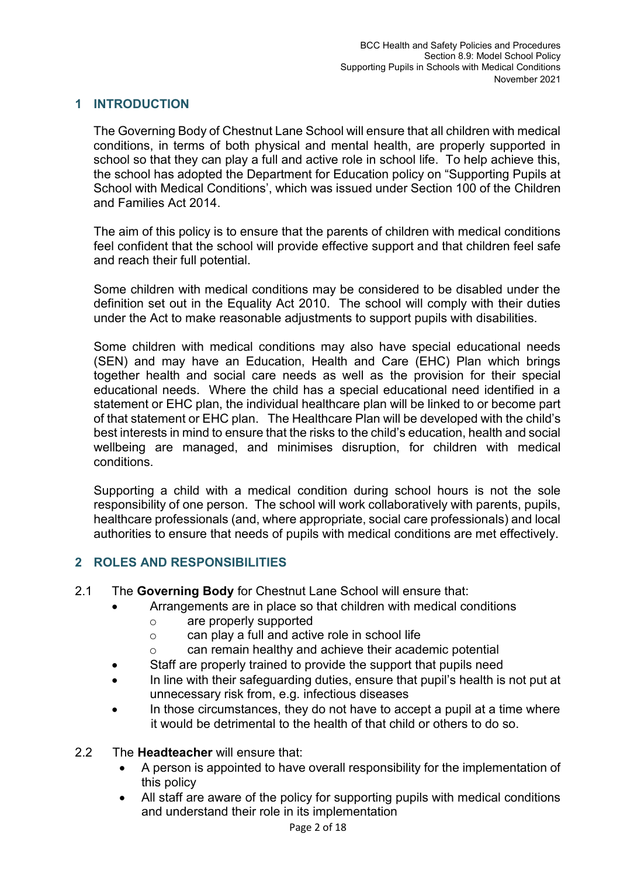## **1 INTRODUCTION**

The Governing Body of Chestnut Lane School will ensure that all children with medical conditions, in terms of both physical and mental health, are properly supported in school so that they can play a full and active role in school life. To help achieve this, the school has adopted the Department for Education policy on "Supporting Pupils at School with Medical Conditions', which was issued under Section 100 of the Children and Families Act 2014.

The aim of this policy is to ensure that the parents of children with medical conditions feel confident that the school will provide effective support and that children feel safe and reach their full potential.

Some children with medical conditions may be considered to be disabled under the definition set out in the Equality Act 2010. The school will comply with their duties under the Act to make reasonable adjustments to support pupils with disabilities.

Some children with medical conditions may also have special educational needs (SEN) and may have an Education, Health and Care (EHC) Plan which brings together health and social care needs as well as the provision for their special educational needs. Where the child has a special educational need identified in a statement or EHC plan, the individual healthcare plan will be linked to or become part of that statement or EHC plan. The Healthcare Plan will be developed with the child's best interests in mind to ensure that the risks to the child's education, health and social wellbeing are managed, and minimises disruption, for children with medical conditions.

Supporting a child with a medical condition during school hours is not the sole responsibility of one person. The school will work collaboratively with parents, pupils, healthcare professionals (and, where appropriate, social care professionals) and local authorities to ensure that needs of pupils with medical conditions are met effectively.

## **2 ROLES AND RESPONSIBILITIES**

- 2.1 The **Governing Body** for Chestnut Lane School will ensure that:
	- Arrangements are in place so that children with medical conditions
		- o are properly supported
		- o can play a full and active role in school life
		- o can remain healthy and achieve their academic potential
	- Staff are properly trained to provide the support that pupils need
	- In line with their safeguarding duties, ensure that pupil's health is not put at unnecessary risk from, e.g. infectious diseases
	- In those circumstances, they do not have to accept a pupil at a time where it would be detrimental to the health of that child or others to do so.
- 2.2 The **Headteacher** will ensure that:
	- A person is appointed to have overall responsibility for the implementation of this policy
	- All staff are aware of the policy for supporting pupils with medical conditions and understand their role in its implementation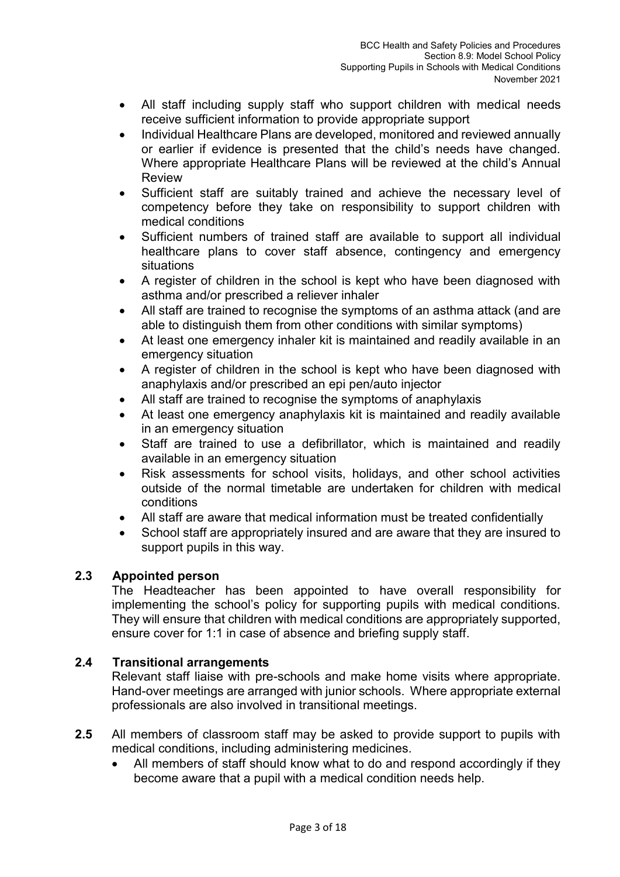- All staff including supply staff who support children with medical needs receive sufficient information to provide appropriate support
- Individual Healthcare Plans are developed, monitored and reviewed annually or earlier if evidence is presented that the child's needs have changed. Where appropriate Healthcare Plans will be reviewed at the child's Annual Review
- Sufficient staff are suitably trained and achieve the necessary level of competency before they take on responsibility to support children with medical conditions
- Sufficient numbers of trained staff are available to support all individual healthcare plans to cover staff absence, contingency and emergency situations
- A register of children in the school is kept who have been diagnosed with asthma and/or prescribed a reliever inhaler
- All staff are trained to recognise the symptoms of an asthma attack (and are able to distinguish them from other conditions with similar symptoms)
- At least one emergency inhaler kit is maintained and readily available in an emergency situation
- A register of children in the school is kept who have been diagnosed with anaphylaxis and/or prescribed an epi pen/auto injector
- All staff are trained to recognise the symptoms of anaphylaxis
- At least one emergency anaphylaxis kit is maintained and readily available in an emergency situation
- Staff are trained to use a defibrillator, which is maintained and readily available in an emergency situation
- Risk assessments for school visits, holidays, and other school activities outside of the normal timetable are undertaken for children with medical conditions
- All staff are aware that medical information must be treated confidentially
- School staff are appropriately insured and are aware that they are insured to support pupils in this way.

## **2.3 Appointed person**

The Headteacher has been appointed to have overall responsibility for implementing the school's policy for supporting pupils with medical conditions. They will ensure that children with medical conditions are appropriately supported, ensure cover for 1:1 in case of absence and briefing supply staff.

## **2.4 Transitional arrangements**

Relevant staff liaise with pre-schools and make home visits where appropriate. Hand-over meetings are arranged with junior schools. Where appropriate external professionals are also involved in transitional meetings.

- **2.5** All members of classroom staff may be asked to provide support to pupils with medical conditions, including administering medicines.
	- All members of staff should know what to do and respond accordingly if they become aware that a pupil with a medical condition needs help.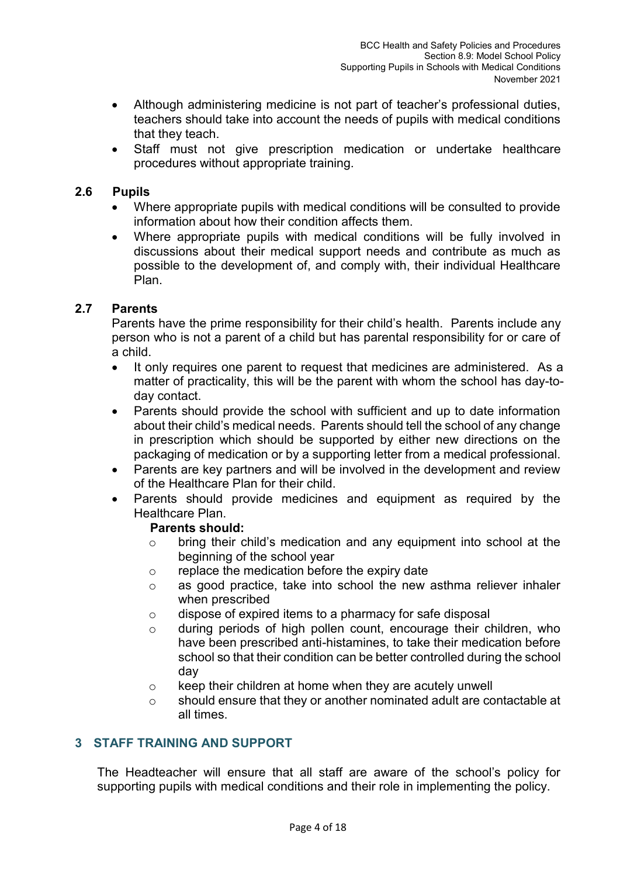- Although administering medicine is not part of teacher's professional duties, teachers should take into account the needs of pupils with medical conditions that they teach.
- Staff must not give prescription medication or undertake healthcare procedures without appropriate training.

## **2.6 Pupils**

- Where appropriate pupils with medical conditions will be consulted to provide information about how their condition affects them.
- Where appropriate pupils with medical conditions will be fully involved in discussions about their medical support needs and contribute as much as possible to the development of, and comply with, their individual Healthcare Plan.

## **2.7 Parents**

Parents have the prime responsibility for their child's health. Parents include any person who is not a parent of a child but has parental responsibility for or care of a child.

- It only requires one parent to request that medicines are administered. As a matter of practicality, this will be the parent with whom the school has day-today contact.
- Parents should provide the school with sufficient and up to date information about their child's medical needs. Parents should tell the school of any change in prescription which should be supported by either new directions on the packaging of medication or by a supporting letter from a medical professional.
- Parents are key partners and will be involved in the development and review of the Healthcare Plan for their child.
- Parents should provide medicines and equipment as required by the Healthcare Plan.

## **Parents should:**

- o bring their child's medication and any equipment into school at the beginning of the school year
- o replace the medication before the expiry date
- o as good practice, take into school the new asthma reliever inhaler when prescribed
- o dispose of expired items to a pharmacy for safe disposal
- o during periods of high pollen count, encourage their children, who have been prescribed anti-histamines, to take their medication before school so that their condition can be better controlled during the school day
- $\circ$  keep their children at home when they are acutely unwell
- o should ensure that they or another nominated adult are contactable at all times.

## **3 STAFF TRAINING AND SUPPORT**

The Headteacher will ensure that all staff are aware of the school's policy for supporting pupils with medical conditions and their role in implementing the policy.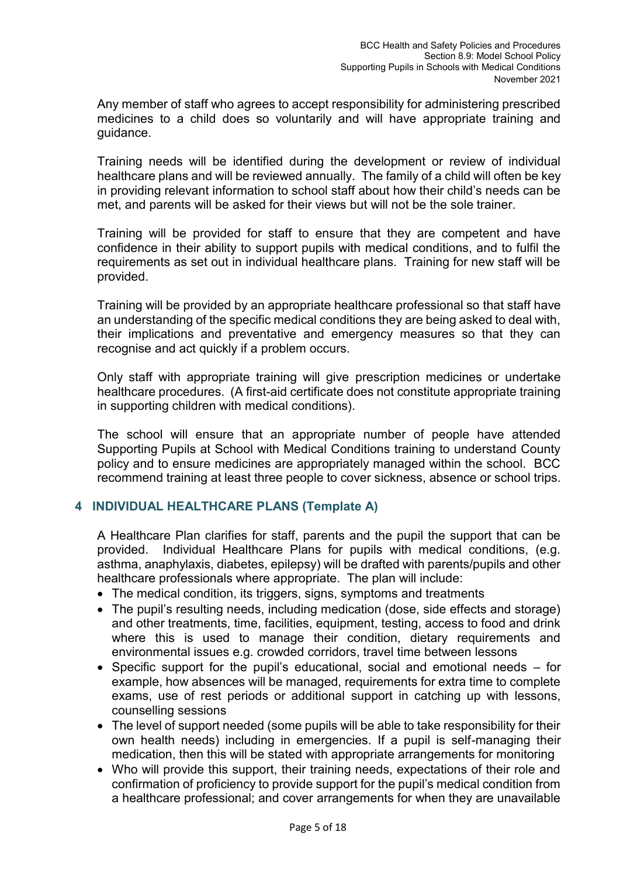Any member of staff who agrees to accept responsibility for administering prescribed medicines to a child does so voluntarily and will have appropriate training and guidance.

Training needs will be identified during the development or review of individual healthcare plans and will be reviewed annually. The family of a child will often be key in providing relevant information to school staff about how their child's needs can be met, and parents will be asked for their views but will not be the sole trainer.

Training will be provided for staff to ensure that they are competent and have confidence in their ability to support pupils with medical conditions, and to fulfil the requirements as set out in individual healthcare plans. Training for new staff will be provided.

Training will be provided by an appropriate healthcare professional so that staff have an understanding of the specific medical conditions they are being asked to deal with, their implications and preventative and emergency measures so that they can recognise and act quickly if a problem occurs.

Only staff with appropriate training will give prescription medicines or undertake healthcare procedures. (A first-aid certificate does not constitute appropriate training in supporting children with medical conditions).

The school will ensure that an appropriate number of people have attended Supporting Pupils at School with Medical Conditions training to understand County policy and to ensure medicines are appropriately managed within the school. BCC recommend training at least three people to cover sickness, absence or school trips.

## **4 INDIVIDUAL HEALTHCARE PLANS (Template A)**

A Healthcare Plan clarifies for staff, parents and the pupil the support that can be provided. Individual Healthcare Plans for pupils with medical conditions, (e.g. asthma, anaphylaxis, diabetes, epilepsy) will be drafted with parents/pupils and other healthcare professionals where appropriate. The plan will include:

- The medical condition, its triggers, signs, symptoms and treatments
- The pupil's resulting needs, including medication (dose, side effects and storage) and other treatments, time, facilities, equipment, testing, access to food and drink where this is used to manage their condition, dietary requirements and environmental issues e.g. crowded corridors, travel time between lessons
- Specific support for the pupil's educational, social and emotional needs for example, how absences will be managed, requirements for extra time to complete exams, use of rest periods or additional support in catching up with lessons, counselling sessions
- The level of support needed (some pupils will be able to take responsibility for their own health needs) including in emergencies. If a pupil is self-managing their medication, then this will be stated with appropriate arrangements for monitoring
- Who will provide this support, their training needs, expectations of their role and confirmation of proficiency to provide support for the pupil's medical condition from a healthcare professional; and cover arrangements for when they are unavailable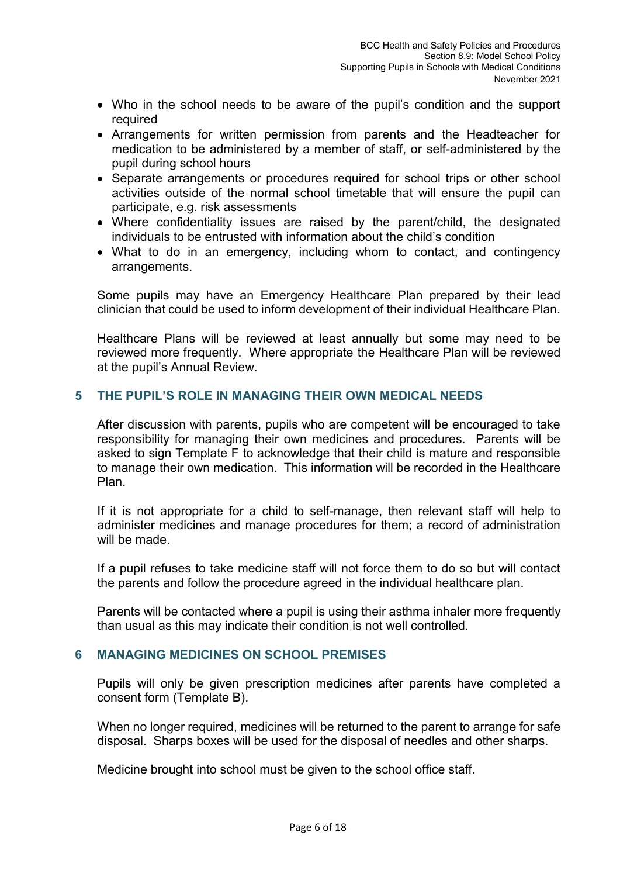- Who in the school needs to be aware of the pupil's condition and the support required
- Arrangements for written permission from parents and the Headteacher for medication to be administered by a member of staff, or self-administered by the pupil during school hours
- Separate arrangements or procedures required for school trips or other school activities outside of the normal school timetable that will ensure the pupil can participate, e.g. risk assessments
- Where confidentiality issues are raised by the parent/child, the designated individuals to be entrusted with information about the child's condition
- What to do in an emergency, including whom to contact, and contingency arrangements.

Some pupils may have an Emergency Healthcare Plan prepared by their lead clinician that could be used to inform development of their individual Healthcare Plan.

Healthcare Plans will be reviewed at least annually but some may need to be reviewed more frequently. Where appropriate the Healthcare Plan will be reviewed at the pupil's Annual Review.

## **5 THE PUPIL'S ROLE IN MANAGING THEIR OWN MEDICAL NEEDS**

After discussion with parents, pupils who are competent will be encouraged to take responsibility for managing their own medicines and procedures. Parents will be asked to sign Template F to acknowledge that their child is mature and responsible to manage their own medication. This information will be recorded in the Healthcare Plan.

If it is not appropriate for a child to self-manage, then relevant staff will help to administer medicines and manage procedures for them; a record of administration will be made.

If a pupil refuses to take medicine staff will not force them to do so but will contact the parents and follow the procedure agreed in the individual healthcare plan.

Parents will be contacted where a pupil is using their asthma inhaler more frequently than usual as this may indicate their condition is not well controlled.

## **6 MANAGING MEDICINES ON SCHOOL PREMISES**

Pupils will only be given prescription medicines after parents have completed a consent form (Template B).

When no longer required, medicines will be returned to the parent to arrange for safe disposal. Sharps boxes will be used for the disposal of needles and other sharps.

Medicine brought into school must be given to the school office staff.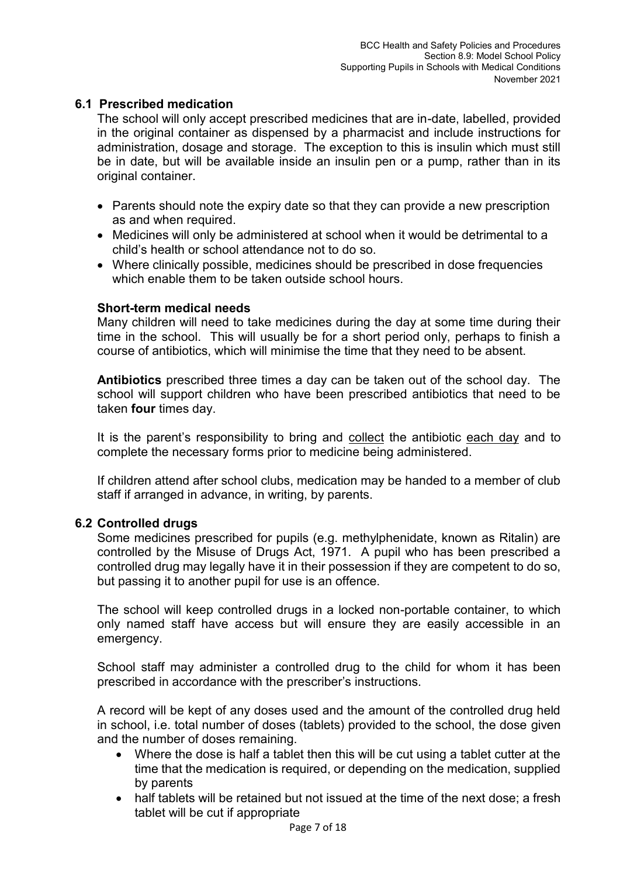## **6.1 Prescribed medication**

The school will only accept prescribed medicines that are in-date, labelled, provided in the original container as dispensed by a pharmacist and include instructions for administration, dosage and storage. The exception to this is insulin which must still be in date, but will be available inside an insulin pen or a pump, rather than in its original container.

- Parents should note the expiry date so that they can provide a new prescription as and when required.
- Medicines will only be administered at school when it would be detrimental to a child's health or school attendance not to do so.
- Where clinically possible, medicines should be prescribed in dose frequencies which enable them to be taken outside school hours.

## **Short-term medical needs**

Many children will need to take medicines during the day at some time during their time in the school. This will usually be for a short period only, perhaps to finish a course of antibiotics, which will minimise the time that they need to be absent.

**Antibiotics** prescribed three times a day can be taken out of the school day. The school will support children who have been prescribed antibiotics that need to be taken **four** times day.

It is the parent's responsibility to bring and collect the antibiotic each day and to complete the necessary forms prior to medicine being administered.

If children attend after school clubs, medication may be handed to a member of club staff if arranged in advance, in writing, by parents.

## **6.2 Controlled drugs**

Some medicines prescribed for pupils (e.g. methylphenidate, known as Ritalin) are controlled by the Misuse of Drugs Act, 1971. A pupil who has been prescribed a controlled drug may legally have it in their possession if they are competent to do so, but passing it to another pupil for use is an offence.

The school will keep controlled drugs in a locked non-portable container, to which only named staff have access but will ensure they are easily accessible in an emergency.

School staff may administer a controlled drug to the child for whom it has been prescribed in accordance with the prescriber's instructions.

A record will be kept of any doses used and the amount of the controlled drug held in school, i.e. total number of doses (tablets) provided to the school, the dose given and the number of doses remaining.

- Where the dose is half a tablet then this will be cut using a tablet cutter at the time that the medication is required, or depending on the medication, supplied by parents
- half tablets will be retained but not issued at the time of the next dose; a fresh tablet will be cut if appropriate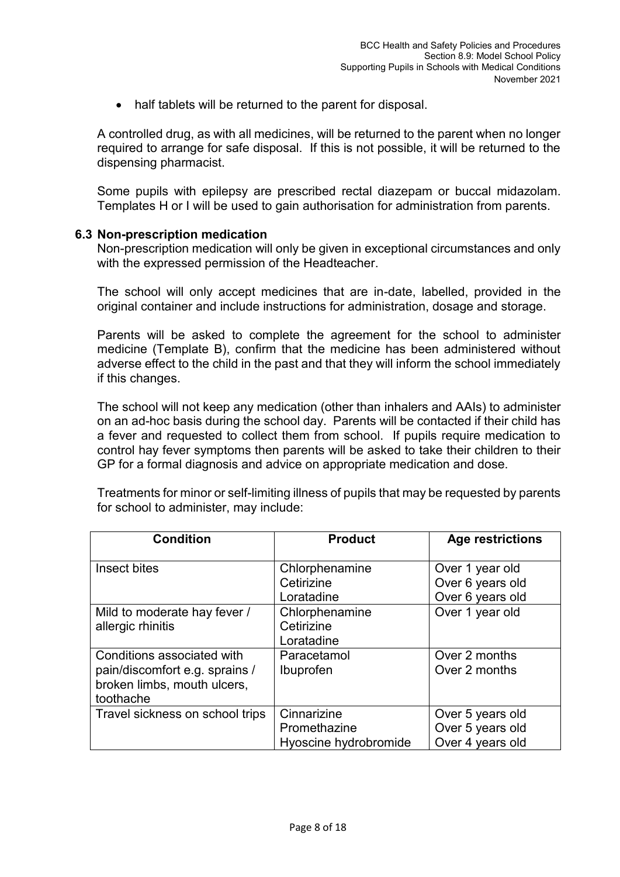• half tablets will be returned to the parent for disposal.

A controlled drug, as with all medicines, will be returned to the parent when no longer required to arrange for safe disposal. If this is not possible, it will be returned to the dispensing pharmacist.

Some pupils with epilepsy are prescribed rectal diazepam or buccal midazolam. Templates H or I will be used to gain authorisation for administration from parents.

#### **6.3 Non-prescription medication**

Non-prescription medication will only be given in exceptional circumstances and only with the expressed permission of the Headteacher.

The school will only accept medicines that are in-date, labelled, provided in the original container and include instructions for administration, dosage and storage.

Parents will be asked to complete the agreement for the school to administer medicine (Template B), confirm that the medicine has been administered without adverse effect to the child in the past and that they will inform the school immediately if this changes.

The school will not keep any medication (other than inhalers and AAIs) to administer on an ad-hoc basis during the school day. Parents will be contacted if their child has a fever and requested to collect them from school. If pupils require medication to control hay fever symptoms then parents will be asked to take their children to their GP for a formal diagnosis and advice on appropriate medication and dose.

Treatments for minor or self-limiting illness of pupils that may be requested by parents for school to administer, may include:

| <b>Condition</b>                                                                                         | <b>Product</b>                                       | <b>Age restrictions</b>                                  |
|----------------------------------------------------------------------------------------------------------|------------------------------------------------------|----------------------------------------------------------|
| Insect bites                                                                                             | Chlorphenamine<br>Cetirizine<br>Loratadine           | Over 1 year old<br>Over 6 years old<br>Over 6 years old  |
| Mild to moderate hay fever /<br>allergic rhinitis                                                        | Chlorphenamine<br>Cetirizine<br>Loratadine           | Over 1 year old                                          |
| Conditions associated with<br>pain/discomfort e.g. sprains /<br>broken limbs, mouth ulcers,<br>toothache | Paracetamol<br>Ibuprofen                             | Over 2 months<br>Over 2 months                           |
| Travel sickness on school trips                                                                          | Cinnarizine<br>Promethazine<br>Hyoscine hydrobromide | Over 5 years old<br>Over 5 years old<br>Over 4 years old |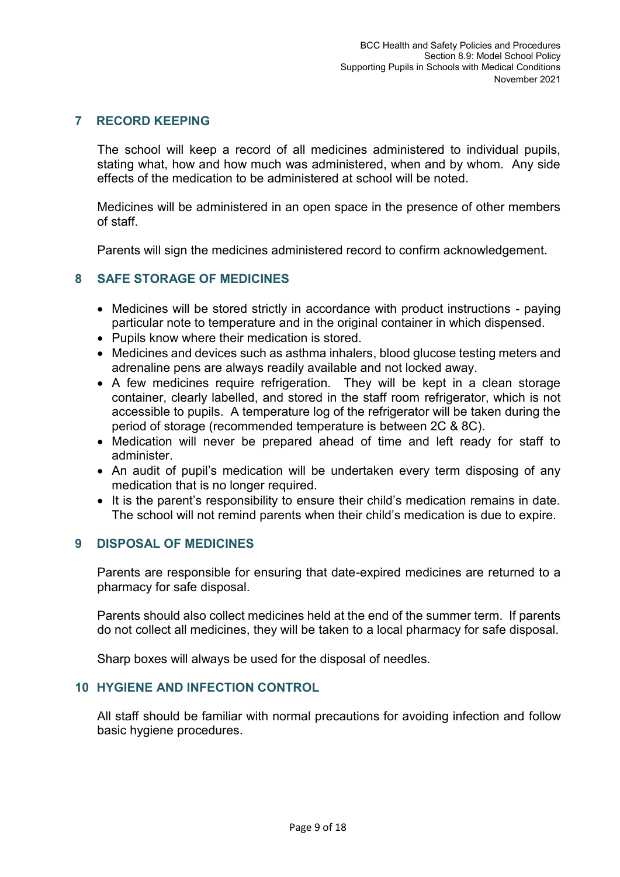## **7 RECORD KEEPING**

The school will keep a record of all medicines administered to individual pupils, stating what, how and how much was administered, when and by whom. Any side effects of the medication to be administered at school will be noted.

Medicines will be administered in an open space in the presence of other members of staff.

Parents will sign the medicines administered record to confirm acknowledgement.

## **8 SAFE STORAGE OF MEDICINES**

- Medicines will be stored strictly in accordance with product instructions paying particular note to temperature and in the original container in which dispensed.
- Pupils know where their medication is stored.
- Medicines and devices such as asthma inhalers, blood glucose testing meters and adrenaline pens are always readily available and not locked away.
- A few medicines require refrigeration. They will be kept in a clean storage container, clearly labelled, and stored in the staff room refrigerator, which is not accessible to pupils. A temperature log of the refrigerator will be taken during the period of storage (recommended temperature is between 2C & 8C).
- Medication will never be prepared ahead of time and left ready for staff to administer.
- An audit of pupil's medication will be undertaken every term disposing of any medication that is no longer required.
- It is the parent's responsibility to ensure their child's medication remains in date. The school will not remind parents when their child's medication is due to expire.

#### **9 DISPOSAL OF MEDICINES**

Parents are responsible for ensuring that date-expired medicines are returned to a pharmacy for safe disposal.

Parents should also collect medicines held at the end of the summer term. If parents do not collect all medicines, they will be taken to a local pharmacy for safe disposal.

Sharp boxes will always be used for the disposal of needles.

#### **10 HYGIENE AND INFECTION CONTROL**

All staff should be familiar with normal precautions for avoiding infection and follow basic hygiene procedures.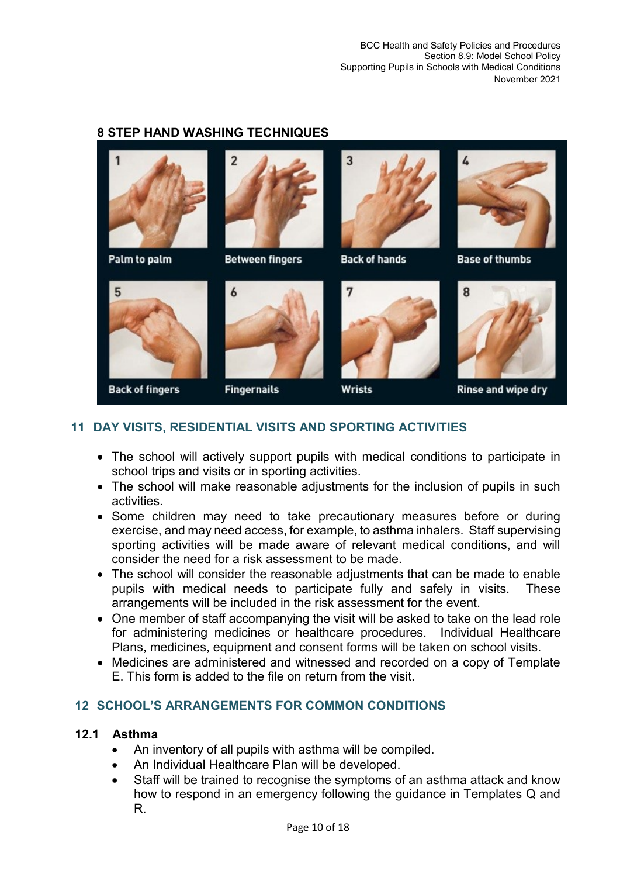BCC Health and Safety Policies and Procedures Section 8.9: Model School Policy Supporting Pupils in Schools with Medical Conditions November 2021

#### **8 STEP HAND WASHING TECHNIQUES**



## **11 DAY VISITS, RESIDENTIAL VISITS AND SPORTING ACTIVITIES**

- The school will actively support pupils with medical conditions to participate in school trips and visits or in sporting activities.
- The school will make reasonable adiustments for the inclusion of pupils in such activities.
- Some children may need to take precautionary measures before or during exercise, and may need access, for example, to asthma inhalers. Staff supervising sporting activities will be made aware of relevant medical conditions, and will consider the need for a risk assessment to be made.
- The school will consider the reasonable adjustments that can be made to enable pupils with medical needs to participate fully and safely in visits. These arrangements will be included in the risk assessment for the event.
- One member of staff accompanying the visit will be asked to take on the lead role for administering medicines or healthcare procedures. Individual Healthcare Plans, medicines, equipment and consent forms will be taken on school visits.
- Medicines are administered and witnessed and recorded on a copy of Template E. This form is added to the file on return from the visit.

## **12 SCHOOL'S ARRANGEMENTS FOR COMMON CONDITIONS**

#### **12.1 Asthma**

- An inventory of all pupils with asthma will be compiled.
- An Individual Healthcare Plan will be developed.
- Staff will be trained to recognise the symptoms of an asthma attack and know how to respond in an emergency following the guidance in Templates Q and R.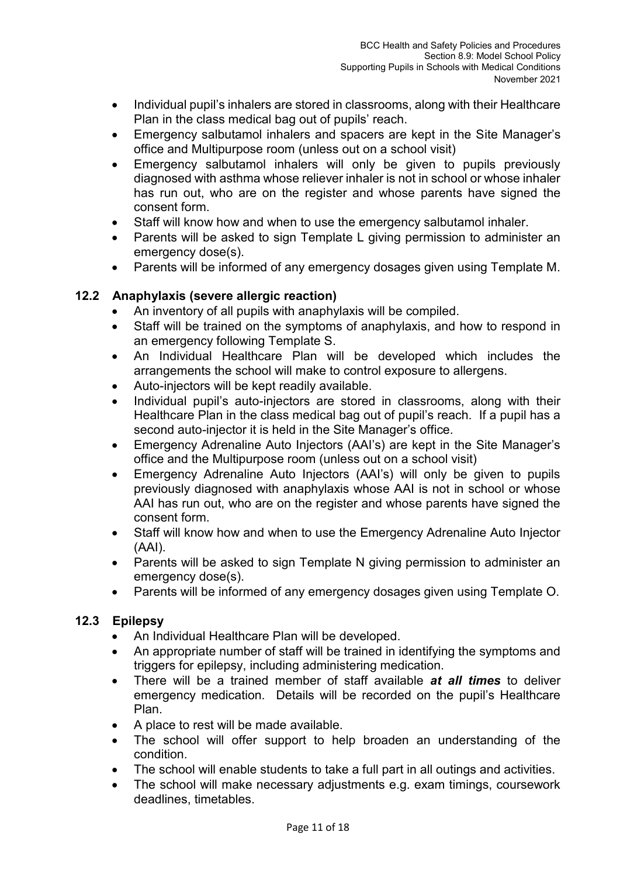- Individual pupil's inhalers are stored in classrooms, along with their Healthcare Plan in the class medical bag out of pupils' reach.
- Emergency salbutamol inhalers and spacers are kept in the Site Manager's office and Multipurpose room (unless out on a school visit)
- Emergency salbutamol inhalers will only be given to pupils previously diagnosed with asthma whose reliever inhaler is not in school or whose inhaler has run out, who are on the register and whose parents have signed the consent form.
- Staff will know how and when to use the emergency salbutamol inhaler.
- Parents will be asked to sign Template L giving permission to administer an emergency dose(s).
- Parents will be informed of any emergency dosages given using Template M.

## **12.2 Anaphylaxis (severe allergic reaction)**

- An inventory of all pupils with anaphylaxis will be compiled.
- Staff will be trained on the symptoms of anaphylaxis, and how to respond in an emergency following Template S.
- An Individual Healthcare Plan will be developed which includes the arrangements the school will make to control exposure to allergens.
- Auto-injectors will be kept readily available.
- Individual pupil's auto-injectors are stored in classrooms, along with their Healthcare Plan in the class medical bag out of pupil's reach. If a pupil has a second auto-injector it is held in the Site Manager's office.
- Emergency Adrenaline Auto Injectors (AAI's) are kept in the Site Manager's office and the Multipurpose room (unless out on a school visit)
- Emergency Adrenaline Auto Injectors (AAI's) will only be given to pupils previously diagnosed with anaphylaxis whose AAI is not in school or whose AAI has run out, who are on the register and whose parents have signed the consent form.
- Staff will know how and when to use the Emergency Adrenaline Auto Injector (AAI).
- Parents will be asked to sign Template N giving permission to administer an emergency dose(s).
- Parents will be informed of any emergency dosages given using Template O.

## **12.3 Epilepsy**

- An Individual Healthcare Plan will be developed.
- An appropriate number of staff will be trained in identifying the symptoms and triggers for epilepsy, including administering medication.
- There will be a trained member of staff available *at all times* to deliver emergency medication. Details will be recorded on the pupil's Healthcare Plan.
- A place to rest will be made available.
- The school will offer support to help broaden an understanding of the condition.
- The school will enable students to take a full part in all outings and activities.
- The school will make necessary adjustments e.g. exam timings, coursework deadlines, timetables.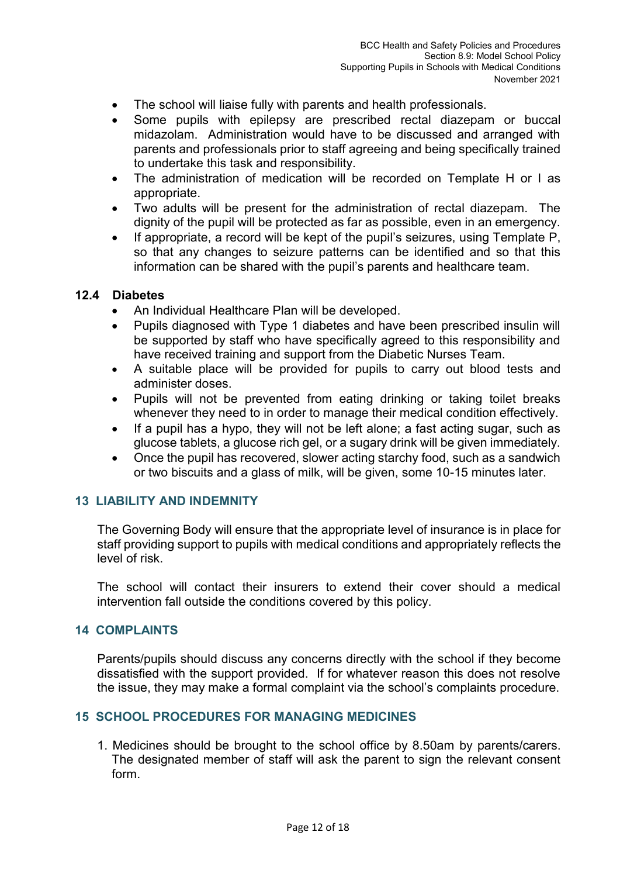- The school will liaise fully with parents and health professionals.
- Some pupils with epilepsy are prescribed rectal diazepam or buccal midazolam. Administration would have to be discussed and arranged with parents and professionals prior to staff agreeing and being specifically trained to undertake this task and responsibility.
- The administration of medication will be recorded on Template H or I as appropriate.
- Two adults will be present for the administration of rectal diazepam. The dignity of the pupil will be protected as far as possible, even in an emergency.
- If appropriate, a record will be kept of the pupil's seizures, using Template P, so that any changes to seizure patterns can be identified and so that this information can be shared with the pupil's parents and healthcare team.

## **12.4 Diabetes**

- An Individual Healthcare Plan will be developed.
- Pupils diagnosed with Type 1 diabetes and have been prescribed insulin will be supported by staff who have specifically agreed to this responsibility and have received training and support from the Diabetic Nurses Team.
- A suitable place will be provided for pupils to carry out blood tests and administer doses.
- Pupils will not be prevented from eating drinking or taking toilet breaks whenever they need to in order to manage their medical condition effectively.
- If a pupil has a hypo, they will not be left alone; a fast acting sugar, such as glucose tablets, a glucose rich gel, or a sugary drink will be given immediately.
- Once the pupil has recovered, slower acting starchy food, such as a sandwich or two biscuits and a glass of milk, will be given, some 10-15 minutes later.

## **13 LIABILITY AND INDEMNITY**

The Governing Body will ensure that the appropriate level of insurance is in place for staff providing support to pupils with medical conditions and appropriately reflects the level of risk.

The school will contact their insurers to extend their cover should a medical intervention fall outside the conditions covered by this policy.

## **14 COMPLAINTS**

Parents/pupils should discuss any concerns directly with the school if they become dissatisfied with the support provided. If for whatever reason this does not resolve the issue, they may make a formal complaint via the school's complaints procedure.

## **15 SCHOOL PROCEDURES FOR MANAGING MEDICINES**

1. Medicines should be brought to the school office by 8.50am by parents/carers. The designated member of staff will ask the parent to sign the relevant consent form.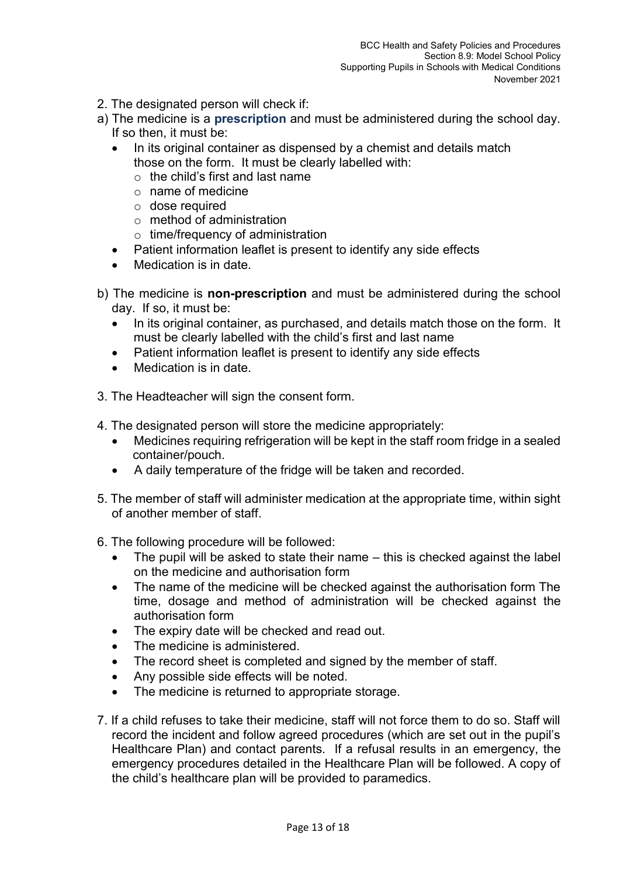- 2. The designated person will check if:
- a) The medicine is a **prescription** and must be administered during the school day. If so then, it must be:
	- In its original container as dispensed by a chemist and details match those on the form. It must be clearly labelled with:
		- $\circ$  the child's first and last name
		- $\circ$  name of medicine
		- $\circ$  dose required
		- o method of administration
		- $\circ$  time/frequency of administration
	- Patient information leaflet is present to identify any side effects
	- Medication is in date.
- b) The medicine is **non-prescription** and must be administered during the school day. If so, it must be:
	- In its original container, as purchased, and details match those on the form. It must be clearly labelled with the child's first and last name
	- Patient information leaflet is present to identify any side effects
	- Medication is in date.
- 3. The Headteacher will sign the consent form.
- 4. The designated person will store the medicine appropriately:
	- Medicines requiring refrigeration will be kept in the staff room fridge in a sealed container/pouch.
	- A daily temperature of the fridge will be taken and recorded.
- 5. The member of staff will administer medication at the appropriate time, within sight of another member of staff.
- 6. The following procedure will be followed:
	- The pupil will be asked to state their name this is checked against the label on the medicine and authorisation form
	- The name of the medicine will be checked against the authorisation form The time, dosage and method of administration will be checked against the authorisation form
	- The expiry date will be checked and read out.
	- The medicine is administered.
	- The record sheet is completed and signed by the member of staff.
	- Any possible side effects will be noted.
	- The medicine is returned to appropriate storage.
- 7. If a child refuses to take their medicine, staff will not force them to do so. Staff will record the incident and follow agreed procedures (which are set out in the pupil's Healthcare Plan) and contact parents. If a refusal results in an emergency, the emergency procedures detailed in the Healthcare Plan will be followed. A copy of the child's healthcare plan will be provided to paramedics.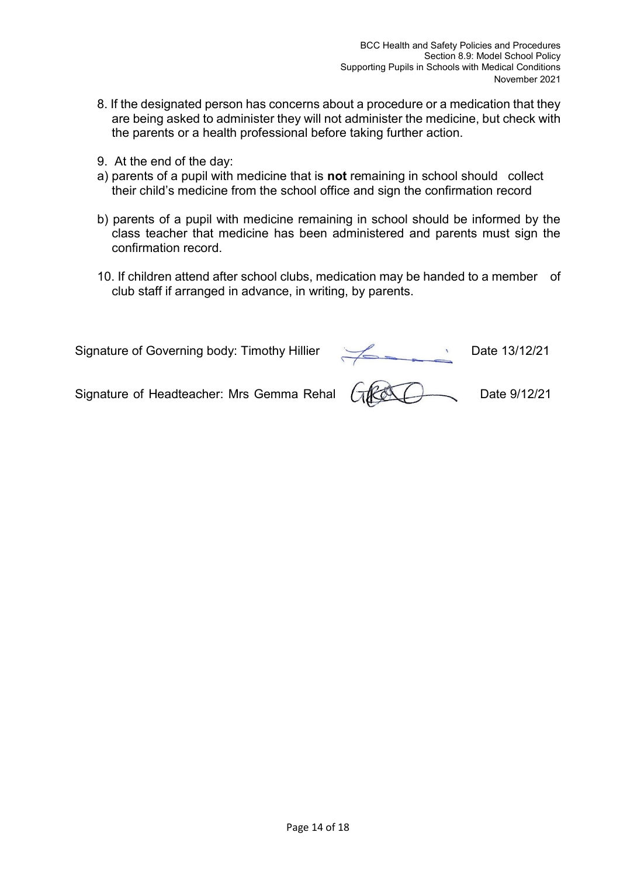- 8. If the designated person has concerns about a procedure or a medication that they are being asked to administer they will not administer the medicine, but check with the parents or a health professional before taking further action.
- 9. At the end of the day:
- a) parents of a pupil with medicine that is **not** remaining in school should collect their child's medicine from the school office and sign the confirmation record
- b) parents of a pupil with medicine remaining in school should be informed by the class teacher that medicine has been administered and parents must sign the confirmation record.
- 10. If children attend after school clubs, medication may be handed to a member of club staff if arranged in advance, in writing, by parents.

Signature of Governing body: Timothy Hillier Date 13/12/21<br>Signature of Headteacher: Mrs Gemma Rehal (GOOC) Date 9/12/21

Signature of Headteacher: Mrs Gemma Rehal (ACCC) Date 9/12/21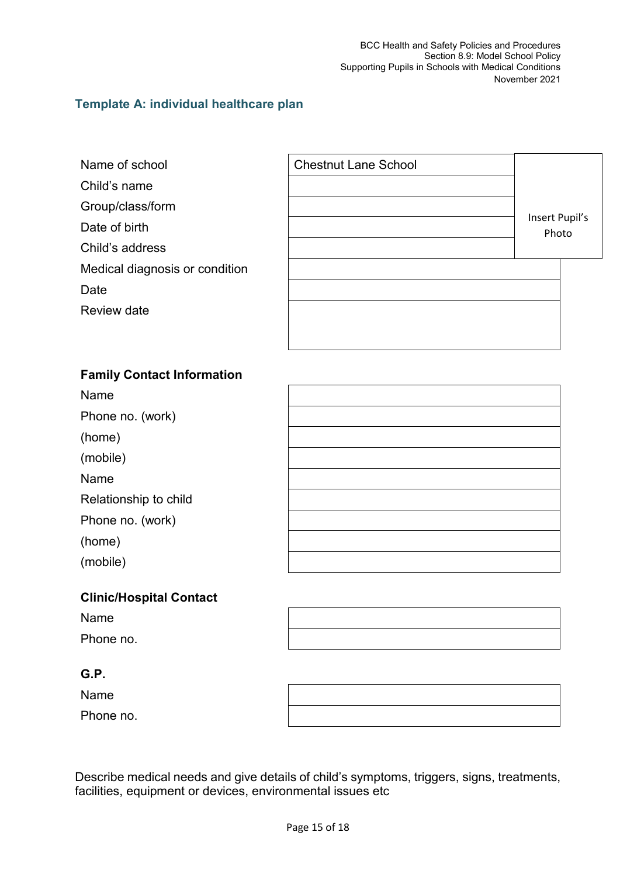## **Template A: individual healthcare plan**

- 
- Child's name

Group/class/form

- Date of birth
- Child's address
- Medical diagnosis or condition
- Date
- Review date



## **Family Contact Information**

Name

Phone no. (work)

(home)

(mobile)

Name

Relationship to child

Phone no. (work)

(home)

(mobile)

## **Clinic/Hospital Contact**

Name Phone no.

## **G.P.**

Name Phone no.

Describe medical needs and give details of child's symptoms, triggers, signs, treatments, facilities, equipment or devices, environmental issues etc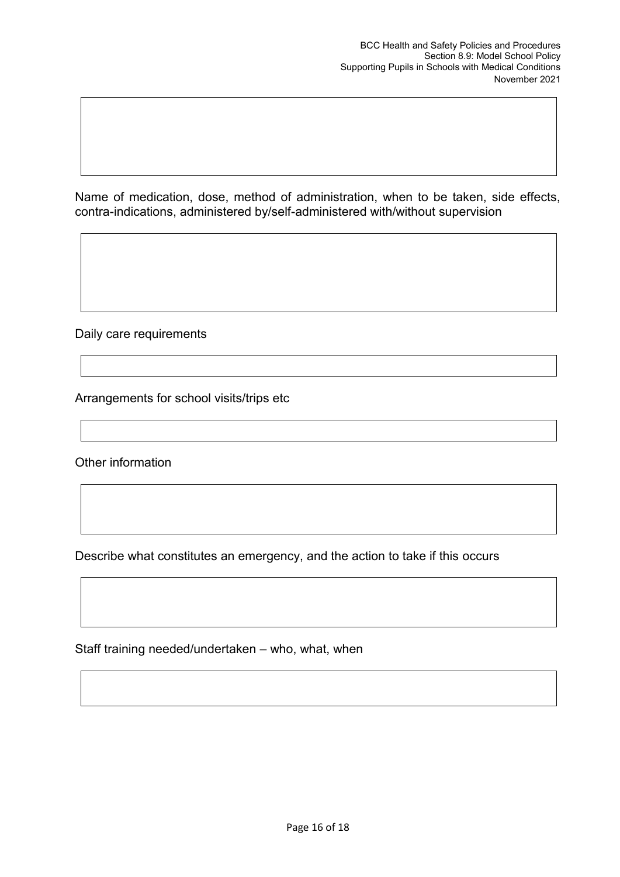Name of medication, dose, method of administration, when to be taken, side effects, contra-indications, administered by/self-administered with/without supervision

Daily care requirements

Arrangements for school visits/trips etc

Other information

Describe what constitutes an emergency, and the action to take if this occurs

Staff training needed/undertaken – who, what, when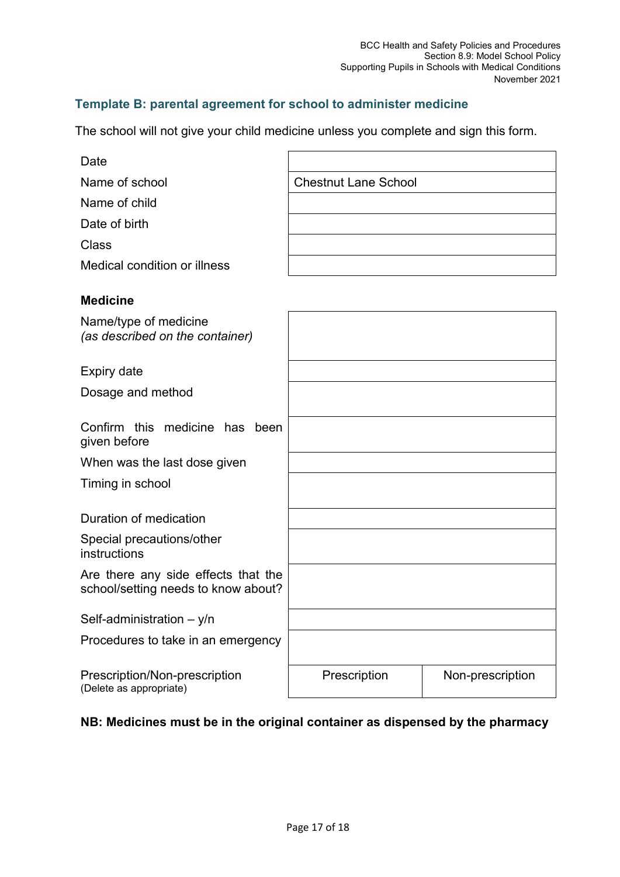# **Template B: parental agreement for school to administer medicine**

The school will not give your child medicine unless you complete and sign this form.

| Date                                                                       |                             |                  |
|----------------------------------------------------------------------------|-----------------------------|------------------|
| Name of school                                                             | <b>Chestnut Lane School</b> |                  |
| Name of child                                                              |                             |                  |
| Date of birth                                                              |                             |                  |
| <b>Class</b>                                                               |                             |                  |
| Medical condition or illness                                               |                             |                  |
| <b>Medicine</b>                                                            |                             |                  |
| Name/type of medicine<br>(as described on the container)                   |                             |                  |
| <b>Expiry date</b>                                                         |                             |                  |
| Dosage and method                                                          |                             |                  |
| Confirm this medicine has been<br>given before                             |                             |                  |
| When was the last dose given                                               |                             |                  |
| Timing in school                                                           |                             |                  |
| Duration of medication                                                     |                             |                  |
| Special precautions/other<br>instructions                                  |                             |                  |
| Are there any side effects that the<br>school/setting needs to know about? |                             |                  |
| Self-administration $-$ y/n                                                |                             |                  |
| Procedures to take in an emergency                                         |                             |                  |
| Prescription/Non-prescription<br>(Delete as appropriate)                   | Prescription                | Non-prescription |

# **NB: Medicines must be in the original container as dispensed by the pharmacy**